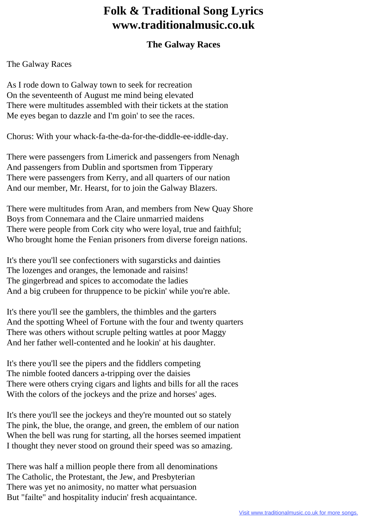## **Folk & Traditional Song Lyrics www.traditionalmusic.co.uk**

## **The Galway Races**

The Galway Races

As I rode down to Galway town to seek for recreation On the seventeenth of August me mind being elevated There were multitudes assembled with their tickets at the station Me eyes began to dazzle and I'm goin' to see the races.

Chorus: With your whack-fa-the-da-for-the-diddle-ee-iddle-day.

There were passengers from Limerick and passengers from Nenagh And passengers from Dublin and sportsmen from Tipperary There were passengers from Kerry, and all quarters of our nation And our member, Mr. Hearst, for to join the Galway Blazers.

There were multitudes from Aran, and members from New Quay Shore Boys from Connemara and the Claire unmarried maidens There were people from Cork city who were loyal, true and faithful; Who brought home the Fenian prisoners from diverse foreign nations.

It's there you'll see confectioners with sugarsticks and dainties The lozenges and oranges, the lemonade and raisins! The gingerbread and spices to accomodate the ladies And a big crubeen for thruppence to be pickin' while you're able.

It's there you'll see the gamblers, the thimbles and the garters And the spotting Wheel of Fortune with the four and twenty quarters There was others without scruple pelting wattles at poor Maggy And her father well-contented and he lookin' at his daughter.

It's there you'll see the pipers and the fiddlers competing The nimble footed dancers a-tripping over the daisies There were others crying cigars and lights and bills for all the races With the colors of the jockeys and the prize and horses' ages.

It's there you'll see the jockeys and they're mounted out so stately The pink, the blue, the orange, and green, the emblem of our nation When the bell was rung for starting, all the horses seemed impatient I thought they never stood on ground their speed was so amazing.

There was half a million people there from all denominations The Catholic, the Protestant, the Jew, and Presbyterian There was yet no animosity, no matter what persuasion But "failte" and hospitality inducin' fresh acquaintance.